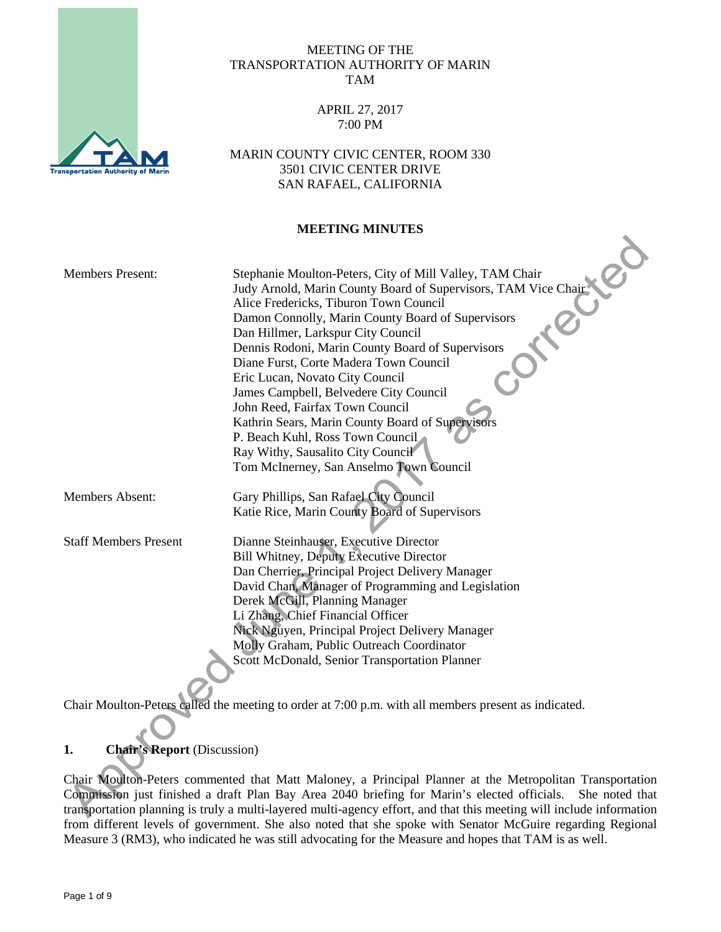

## MEETING OF THE TRANSPORTATION AUTHORITY OF MARIN TAM

## APRIL 27, 2017 7:00 PM

MARIN COUNTY CIVIC CENTER, ROOM 330 3501 CIVIC CENTER DRIVE SAN RAFAEL, CALIFORNIA

## **MEETING MINUTES**

| <b>Members Present:</b>      | Stephanie Moulton-Peters, City of Mill Valley, TAM Chair       |
|------------------------------|----------------------------------------------------------------|
|                              | Judy Arnold, Marin County Board of Supervisors, TAM Vice Chair |
|                              | Alice Fredericks, Tiburon Town Council                         |
|                              | Damon Connolly, Marin County Board of Supervisors              |
|                              | Dan Hillmer, Larkspur City Council                             |
|                              | Dennis Rodoni, Marin County Board of Supervisors               |
|                              | Diane Furst, Corte Madera Town Council                         |
|                              | Eric Lucan, Novato City Council                                |
|                              | James Campbell, Belvedere City Council                         |
|                              | John Reed, Fairfax Town Council                                |
|                              | Kathrin Sears, Marin County Board of Supervisors               |
|                              | P. Beach Kuhl, Ross Town Council                               |
|                              | Ray Withy, Sausalito City Council                              |
|                              | Tom McInerney, San Anselmo Town Council                        |
|                              |                                                                |
| Members Absent:              | Gary Phillips, San Rafael City Council                         |
|                              | Katie Rice, Marin County Board of Supervisors                  |
|                              |                                                                |
| <b>Staff Members Present</b> | Dianne Steinhauser, Executive Director                         |
|                              | <b>Bill Whitney, Deputy Executive Director</b>                 |
|                              | Dan Cherrier, Principal Project Delivery Manager               |
|                              | David Chan, Manager of Programming and Legislation             |
|                              | Derek McGill, Planning Manager                                 |
|                              | Li Zhang, Chief Financial Officer                              |
|                              | Nick Nguyen, Principal Project Delivery Manager                |
|                              | Molly Graham, Public Outreach Coordinator                      |
|                              | Scott McDonald, Senior Transportation Planner                  |
|                              |                                                                |
|                              |                                                                |

Chair Moulton-Peters called the meeting to order at 7:00 p.m. with all members present as indicated.

# **1. Chair's Report** (Discussion)

Chair Moulton-Peters commented that Matt Maloney, a Principal Planner at the Metropolitan Transportation Commission just finished a draft Plan Bay Area 2040 briefing for Marin's elected officials. She noted that transportation planning is truly a multi-layered multi-agency effort, and that this meeting will include information from different levels of government. She also noted that she spoke with Senator McGuire regarding Regional Measure 3 (RM3), who indicated he was still advocating for the Measure and hopes that TAM is as well.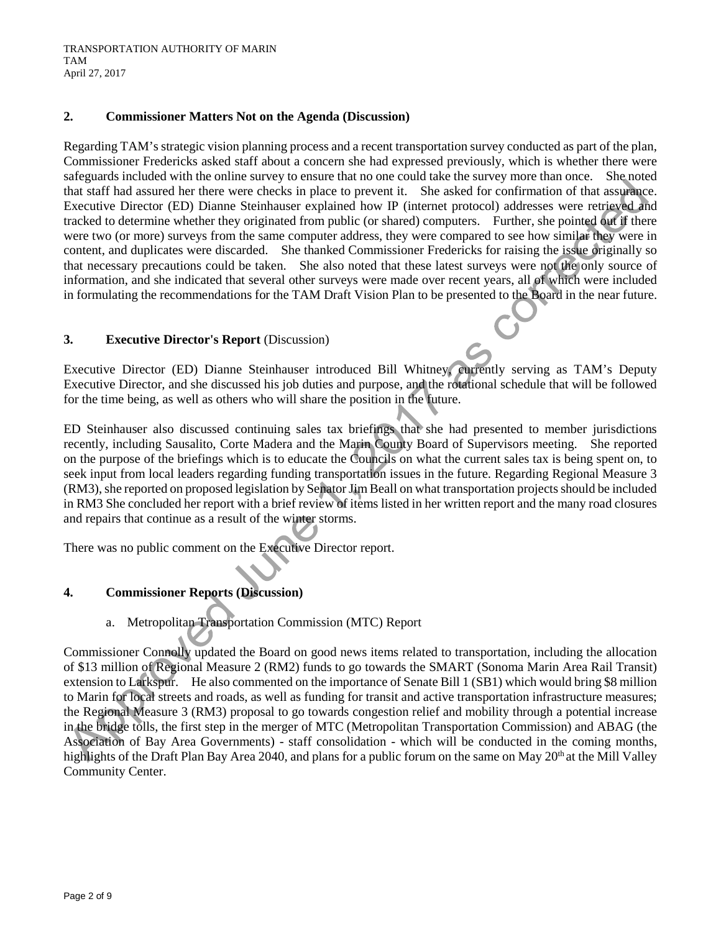# **2. Commissioner Matters Not on the Agenda (Discussion)**

Regarding TAM's strategic vision planning process and a recent transportation survey conducted as part of the plan, Commissioner Fredericks asked staff about a concern she had expressed previously, which is whether there were safeguards included with the online survey to ensure that no one could take the survey more than once. She noted that staff had assured her there were checks in place to prevent it. She asked for confirmation of that assurance. Executive Director (ED) Dianne Steinhauser explained how IP (internet protocol) addresses were retrieved and tracked to determine whether they originated from public (or shared) computers. Further, she pointed out if there were two (or more) surveys from the same computer address, they were compared to see how similar they were in content, and duplicates were discarded. She thanked Commissioner Fredericks for raising the issue originally so that necessary precautions could be taken. She also noted that these latest surveys were not the only source of information, and she indicated that several other surveys were made over recent years, all of which were included in formulating the recommendations for the TAM Draft Vision Plan to be presented to the Board in the near future.

# **3. Executive Director's Report** (Discussion)

Executive Director (ED) Dianne Steinhauser introduced Bill Whitney, currently serving as TAM's Deputy Executive Director, and she discussed his job duties and purpose, and the rotational schedule that will be followed for the time being, as well as others who will share the position in the future.

ED Steinhauser also discussed continuing sales tax briefings that she had presented to member jurisdictions recently, including Sausalito, Corte Madera and the Marin County Board of Supervisors meeting. She reported on the purpose of the briefings which is to educate the Councils on what the current sales tax is being spent on, to seek input from local leaders regarding funding transportation issues in the future. Regarding Regional Measure 3 (RM3), she reported on proposed legislation by Senator Jim Beall on what transportation projects should be included in RM3 She concluded her report with a brief review of items listed in her written report and the many road closures and repairs that continue as a result of the winter storms.

There was no public comment on the Executive Director report.

# **4. Commissioner Reports (Discussion)**

a. Metropolitan Transportation Commission (MTC) Report

Commissioner Connolly updated the Board on good news items related to transportation, including the allocation of \$13 million of Regional Measure 2 (RM2) funds to go towards the SMART (Sonoma Marin Area Rail Transit) extension to Larkspur. He also commented on the importance of Senate Bill 1 (SB1) which would bring \$8 million to Marin for local streets and roads, as well as funding for transit and active transportation infrastructure measures; the Regional Measure 3 (RM3) proposal to go towards congestion relief and mobility through a potential increase in the bridge tolls, the first step in the merger of MTC (Metropolitan Transportation Commission) and ABAG (the Association of Bay Area Governments) - staff consolidation - which will be conducted in the coming months, highlights of the Draft Plan Bay Area 2040, and plans for a public forum on the same on May 20<sup>th</sup> at the Mill Valley Community Center.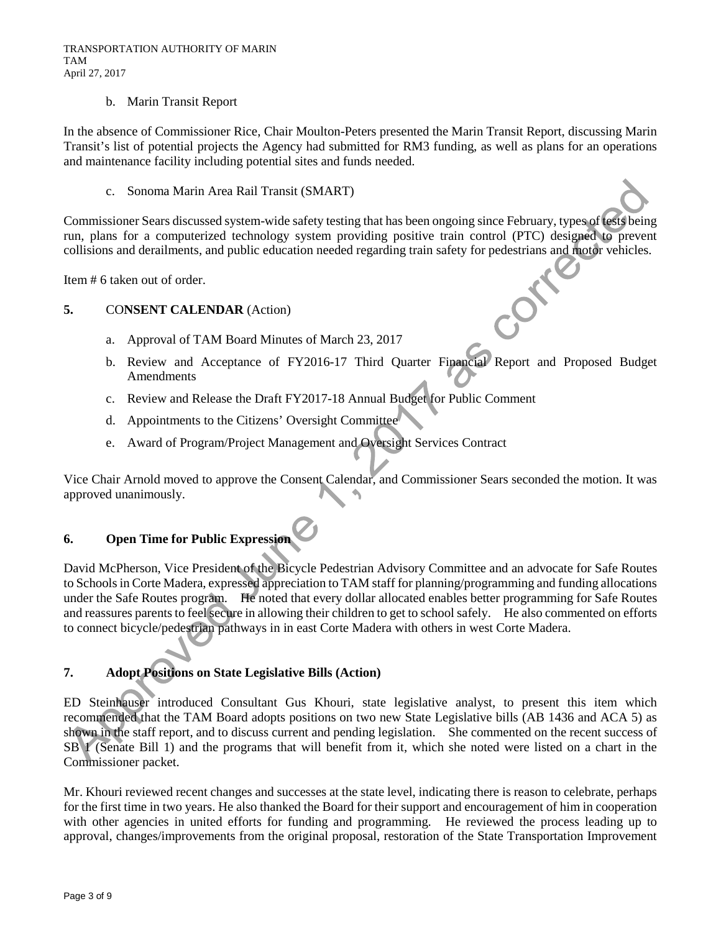#### b. Marin Transit Report

In the absence of Commissioner Rice, Chair Moulton-Peters presented the Marin Transit Report, discussing Marin Transit's list of potential projects the Agency had submitted for RM3 funding, as well as plans for an operations and maintenance facility including potential sites and funds needed.

c. Sonoma Marin Area Rail Transit (SMART)

Commissioner Sears discussed system-wide safety testing that has been ongoing since February, types of tests being run, plans for a computerized technology system providing positive train control (PTC) designed to prevent collisions and derailments, and public education needed regarding train safety for pedestrians and motor vehicles.

Item # 6 taken out of order.

## **5.** CO**NSENT CALENDAR** (Action)

- a. Approval of TAM Board Minutes of March 23, 2017
- b. Review and Acceptance of FY2016-17 Third Quarter Financial Report and Proposed Budget Amendments
- c. Review and Release the Draft FY2017-18 Annual Budget for Public Comment
- d. Appointments to the Citizens' Oversight Committee
- e. Award of Program/Project Management and Oversight Services Contract

Vice Chair Arnold moved to approve the Consent Calendar, and Commissioner Sears seconded the motion. It was approved unanimously.

# **6. Open Time for Public Expression**

David McPherson, Vice President of the Bicycle Pedestrian Advisory Committee and an advocate for Safe Routes to Schools in Corte Madera, expressed appreciation to TAM staff for planning/programming and funding allocations under the Safe Routes program. He noted that every dollar allocated enables better programming for Safe Routes and reassures parents to feel secure in allowing their children to get to school safely. He also commented on efforts to connect bicycle/pedestrian pathways in in east Corte Madera with others in west Corte Madera.

## **7. Adopt Positions on State Legislative Bills (Action)**

ED Steinhauser introduced Consultant Gus Khouri, state legislative analyst, to present this item which recommended that the TAM Board adopts positions on two new State Legislative bills (AB 1436 and ACA 5) as shown in the staff report, and to discuss current and pending legislation. She commented on the recent success of SB 1 (Senate Bill 1) and the programs that will benefit from it, which she noted were listed on a chart in the Commissioner packet.

Mr. Khouri reviewed recent changes and successes at the state level, indicating there is reason to celebrate, perhaps for the first time in two years. He also thanked the Board for their support and encouragement of him in cooperation with other agencies in united efforts for funding and programming. He reviewed the process leading up to approval, changes/improvements from the original proposal, restoration of the State Transportation Improvement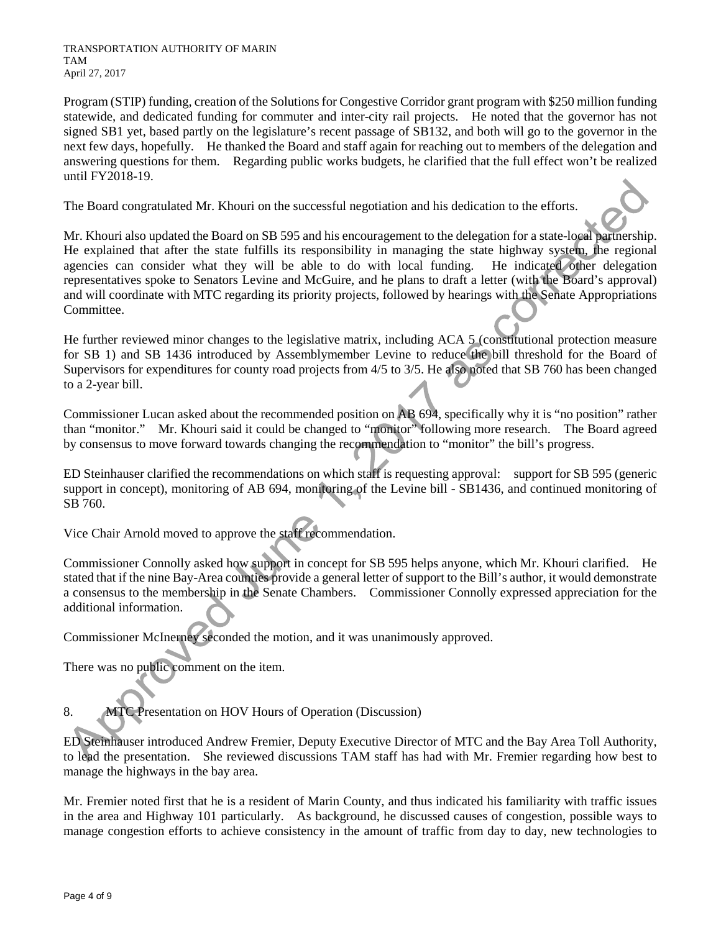TRANSPORTATION AUTHORITY OF MARIN TAM April 27, 2017

Program (STIP) funding, creation of the Solutions for Congestive Corridor grant program with \$250 million funding statewide, and dedicated funding for commuter and inter-city rail projects. He noted that the governor has not signed SB1 yet, based partly on the legislature's recent passage of SB132, and both will go to the governor in the next few days, hopefully. He thanked the Board and staff again for reaching out to members of the delegation and answering questions for them. Regarding public works budgets, he clarified that the full effect won't be realized until FY2018-19.

The Board congratulated Mr. Khouri on the successful negotiation and his dedication to the efforts.

Mr. Khouri also updated the Board on SB 595 and his encouragement to the delegation for a state-local partnership. He explained that after the state fulfills its responsibility in managing the state highway system, the regional agencies can consider what they will be able to do with local funding. He indicated other delegation representatives spoke to Senators Levine and McGuire, and he plans to draft a letter (with the Board's approval) and will coordinate with MTC regarding its priority projects, followed by hearings with the Senate Appropriations Committee.

He further reviewed minor changes to the legislative matrix, including ACA 5 (constitutional protection measure for SB 1) and SB 1436 introduced by Assemblymember Levine to reduce the bill threshold for the Board of Supervisors for expenditures for county road projects from 4/5 to 3/5. He also noted that SB 760 has been changed to a 2-year bill.

Commissioner Lucan asked about the recommended position on AB 694, specifically why it is "no position" rather than "monitor." Mr. Khouri said it could be changed to "monitor" following more research. The Board agreed by consensus to move forward towards changing the recommendation to "monitor" the bill's progress.

ED Steinhauser clarified the recommendations on which staff is requesting approval: support for SB 595 (generic support in concept), monitoring of AB 694, monitoring of the Levine bill - SB1436, and continued monitoring of SB 760.

Vice Chair Arnold moved to approve the staff recommendation.

Commissioner Connolly asked how support in concept for SB 595 helps anyone, which Mr. Khouri clarified. He stated that if the nine Bay-Area counties provide a general letter of support to the Bill's author, it would demonstrate a consensus to the membership in the Senate Chambers. Commissioner Connolly expressed appreciation for the additional information.

Commissioner McInerney seconded the motion, and it was unanimously approved.

There was no public comment on the item.

8. MTC Presentation on HOV Hours of Operation (Discussion)

ED Steinhauser introduced Andrew Fremier, Deputy Executive Director of MTC and the Bay Area Toll Authority, to lead the presentation. She reviewed discussions TAM staff has had with Mr. Fremier regarding how best to manage the highways in the bay area.

Mr. Fremier noted first that he is a resident of Marin County, and thus indicated his familiarity with traffic issues in the area and Highway 101 particularly. As background, he discussed causes of congestion, possible ways to manage congestion efforts to achieve consistency in the amount of traffic from day to day, new technologies to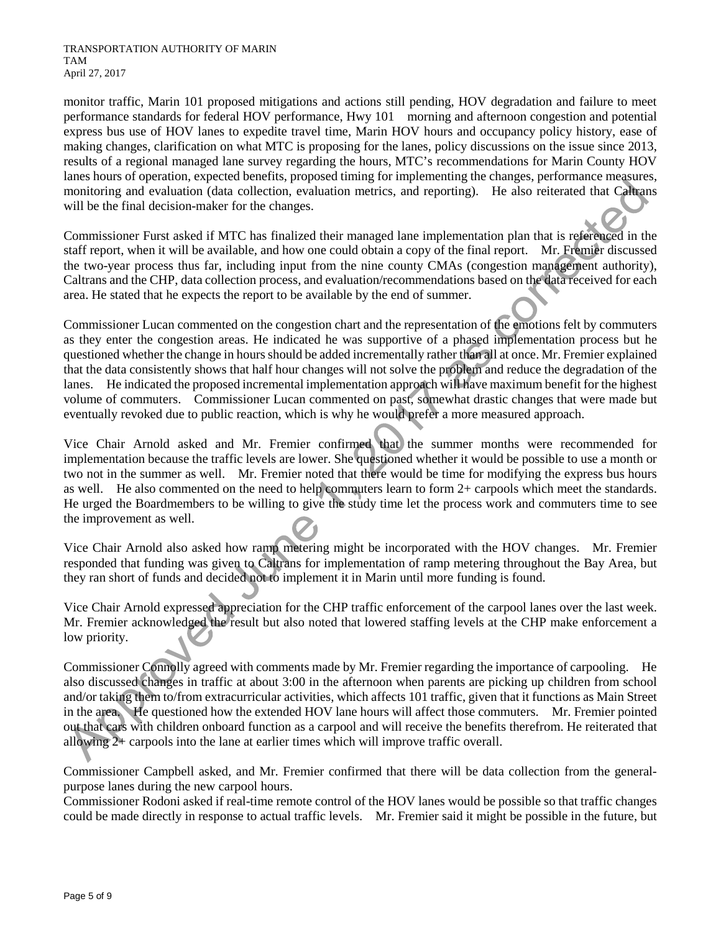monitor traffic, Marin 101 proposed mitigations and actions still pending, HOV degradation and failure to meet performance standards for federal HOV performance, Hwy 101 morning and afternoon congestion and potential express bus use of HOV lanes to expedite travel time, Marin HOV hours and occupancy policy history, ease of making changes, clarification on what MTC is proposing for the lanes, policy discussions on the issue since 2013, results of a regional managed lane survey regarding the hours, MTC's recommendations for Marin County HOV lanes hours of operation, expected benefits, proposed timing for implementing the changes, performance measures, monitoring and evaluation (data collection, evaluation metrics, and reporting). He also reiterated that Caltrans will be the final decision-maker for the changes.

Commissioner Furst asked if MTC has finalized their managed lane implementation plan that is referenced in the staff report, when it will be available, and how one could obtain a copy of the final report. Mr. Fremier discussed the two-year process thus far, including input from the nine county CMAs (congestion management authority), Caltrans and the CHP, data collection process, and evaluation/recommendations based on the data received for each area. He stated that he expects the report to be available by the end of summer.

Commissioner Lucan commented on the congestion chart and the representation of the emotions felt by commuters as they enter the congestion areas. He indicated he was supportive of a phased implementation process but he questioned whether the change in hours should be added incrementally rather than all at once. Mr. Fremier explained that the data consistently shows that half hour changes will not solve the problem and reduce the degradation of the lanes. He indicated the proposed incremental implementation approach will have maximum benefit for the highest volume of commuters. Commissioner Lucan commented on past, somewhat drastic changes that were made but eventually revoked due to public reaction, which is why he would prefer a more measured approach.

Vice Chair Arnold asked and Mr. Fremier confirmed that the summer months were recommended for implementation because the traffic levels are lower. She questioned whether it would be possible to use a month or two not in the summer as well. Mr. Fremier noted that there would be time for modifying the express bus hours as well. He also commented on the need to help commuters learn to form 2+ carpools which meet the standards. He urged the Boardmembers to be willing to give the study time let the process work and commuters time to see the improvement as well.

Vice Chair Arnold also asked how ramp metering might be incorporated with the HOV changes. Mr. Fremier responded that funding was given to Caltrans for implementation of ramp metering throughout the Bay Area, but they ran short of funds and decided not to implement it in Marin until more funding is found.

Vice Chair Arnold expressed appreciation for the CHP traffic enforcement of the carpool lanes over the last week. Mr. Fremier acknowledged the result but also noted that lowered staffing levels at the CHP make enforcement a low priority.

Commissioner Connolly agreed with comments made by Mr. Fremier regarding the importance of carpooling. He also discussed changes in traffic at about 3:00 in the afternoon when parents are picking up children from school and/or taking them to/from extracurricular activities, which affects 101 traffic, given that it functions as Main Street in the area. He questioned how the extended HOV lane hours will affect those commuters. Mr. Fremier pointed out that cars with children onboard function as a carpool and will receive the benefits therefrom. He reiterated that allowing 2+ carpools into the lane at earlier times which will improve traffic overall.

Commissioner Campbell asked, and Mr. Fremier confirmed that there will be data collection from the generalpurpose lanes during the new carpool hours.

Commissioner Rodoni asked if real-time remote control of the HOV lanes would be possible so that traffic changes could be made directly in response to actual traffic levels. Mr. Fremier said it might be possible in the future, but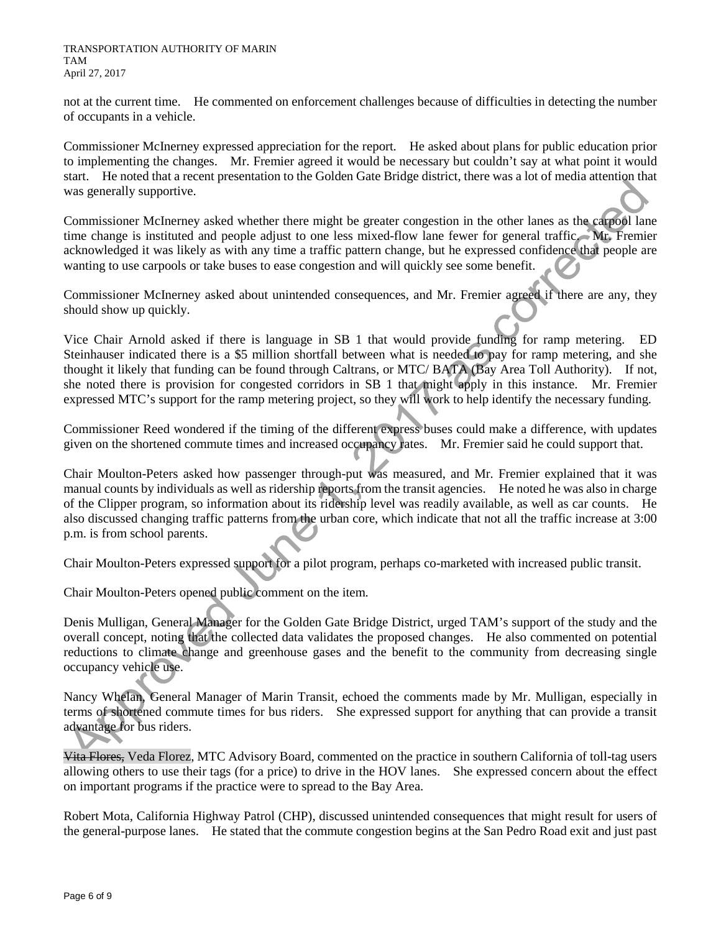not at the current time. He commented on enforcement challenges because of difficulties in detecting the number of occupants in a vehicle.

Commissioner McInerney expressed appreciation for the report. He asked about plans for public education prior to implementing the changes. Mr. Fremier agreed it would be necessary but couldn't say at what point it would start. He noted that a recent presentation to the Golden Gate Bridge district, there was a lot of media attention that was generally supportive.

Commissioner McInerney asked whether there might be greater congestion in the other lanes as the carpool lane time change is instituted and people adjust to one less mixed-flow lane fewer for general traffic. Mr. Fremier acknowledged it was likely as with any time a traffic pattern change, but he expressed confidence that people are wanting to use carpools or take buses to ease congestion and will quickly see some benefit.

Commissioner McInerney asked about unintended consequences, and Mr. Fremier agreed if there are any, they should show up quickly.

Vice Chair Arnold asked if there is language in SB 1 that would provide funding for ramp metering. ED Steinhauser indicated there is a \$5 million shortfall between what is needed to pay for ramp metering, and she thought it likely that funding can be found through Caltrans, or MTC/ BATA (Bay Area Toll Authority). If not, she noted there is provision for congested corridors in SB 1 that might apply in this instance. Mr. Fremier expressed MTC's support for the ramp metering project, so they will work to help identify the necessary funding.

Commissioner Reed wondered if the timing of the different express buses could make a difference, with updates given on the shortened commute times and increased occupancy rates. Mr. Fremier said he could support that.

Chair Moulton-Peters asked how passenger through-put was measured, and Mr. Fremier explained that it was manual counts by individuals as well as ridership reports from the transit agencies. He noted he was also in charge of the Clipper program, so information about its ridership level was readily available, as well as car counts. He also discussed changing traffic patterns from the urban core, which indicate that not all the traffic increase at 3:00 p.m. is from school parents.

Chair Moulton-Peters expressed support for a pilot program, perhaps co-marketed with increased public transit.

Chair Moulton-Peters opened public comment on the item.

Denis Mulligan, General Manager for the Golden Gate Bridge District, urged TAM's support of the study and the overall concept, noting that the collected data validates the proposed changes. He also commented on potential reductions to climate change and greenhouse gases and the benefit to the community from decreasing single occupancy vehicle use.

Nancy Whelan, General Manager of Marin Transit, echoed the comments made by Mr. Mulligan, especially in terms of shortened commute times for bus riders. She expressed support for anything that can provide a transit advantage for bus riders.

Vita Flores, Veda Florez, MTC Advisory Board, commented on the practice in southern California of toll-tag users allowing others to use their tags (for a price) to drive in the HOV lanes. She expressed concern about the effect on important programs if the practice were to spread to the Bay Area.

Robert Mota, California Highway Patrol (CHP), discussed unintended consequences that might result for users of the general-purpose lanes. He stated that the commute congestion begins at the San Pedro Road exit and just past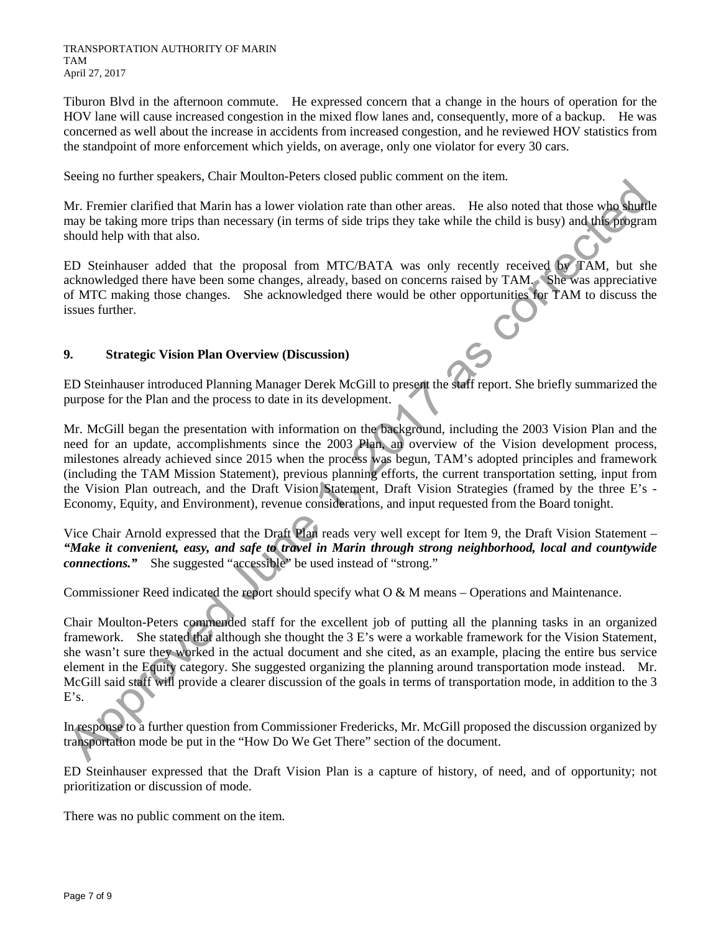Tiburon Blvd in the afternoon commute. He expressed concern that a change in the hours of operation for the HOV lane will cause increased congestion in the mixed flow lanes and, consequently, more of a backup. He was concerned as well about the increase in accidents from increased congestion, and he reviewed HOV statistics from the standpoint of more enforcement which yields, on average, only one violator for every 30 cars.

Seeing no further speakers, Chair Moulton-Peters closed public comment on the item.

Mr. Fremier clarified that Marin has a lower violation rate than other areas. He also noted that those who shuttle may be taking more trips than necessary (in terms of side trips they take while the child is busy) and this program should help with that also.

ED Steinhauser added that the proposal from MTC/BATA was only recently received by TAM, but she acknowledged there have been some changes, already, based on concerns raised by TAM. She was appreciative of MTC making those changes. She acknowledged there would be other opportunities for TAM to discuss the issues further.

# **9. Strategic Vision Plan Overview (Discussion)**

ED Steinhauser introduced Planning Manager Derek McGill to present the staff report. She briefly summarized the purpose for the Plan and the process to date in its development.

Mr. McGill began the presentation with information on the background, including the 2003 Vision Plan and the need for an update, accomplishments since the 2003 Plan, an overview of the Vision development process, milestones already achieved since 2015 when the process was begun, TAM's adopted principles and framework (including the TAM Mission Statement), previous planning efforts, the current transportation setting, input from the Vision Plan outreach, and the Draft Vision Statement, Draft Vision Strategies (framed by the three E's - Economy, Equity, and Environment), revenue considerations, and input requested from the Board tonight.

Vice Chair Arnold expressed that the Draft Plan reads very well except for Item 9, the Draft Vision Statement – *"Make it convenient, easy, and safe to travel in Marin through strong neighborhood, local and countywide connections."* She suggested "accessible" be used instead of "strong."

Commissioner Reed indicated the report should specify what O & M means – Operations and Maintenance.

Chair Moulton-Peters commended staff for the excellent job of putting all the planning tasks in an organized framework. She stated that although she thought the 3 E's were a workable framework for the Vision Statement, she wasn't sure they worked in the actual document and she cited, as an example, placing the entire bus service element in the Equity category. She suggested organizing the planning around transportation mode instead. Mr. McGill said staff will provide a clearer discussion of the goals in terms of transportation mode, in addition to the 3 E's.

In response to a further question from Commissioner Fredericks, Mr. McGill proposed the discussion organized by transportation mode be put in the "How Do We Get There" section of the document.

ED Steinhauser expressed that the Draft Vision Plan is a capture of history, of need, and of opportunity; not prioritization or discussion of mode.

There was no public comment on the item.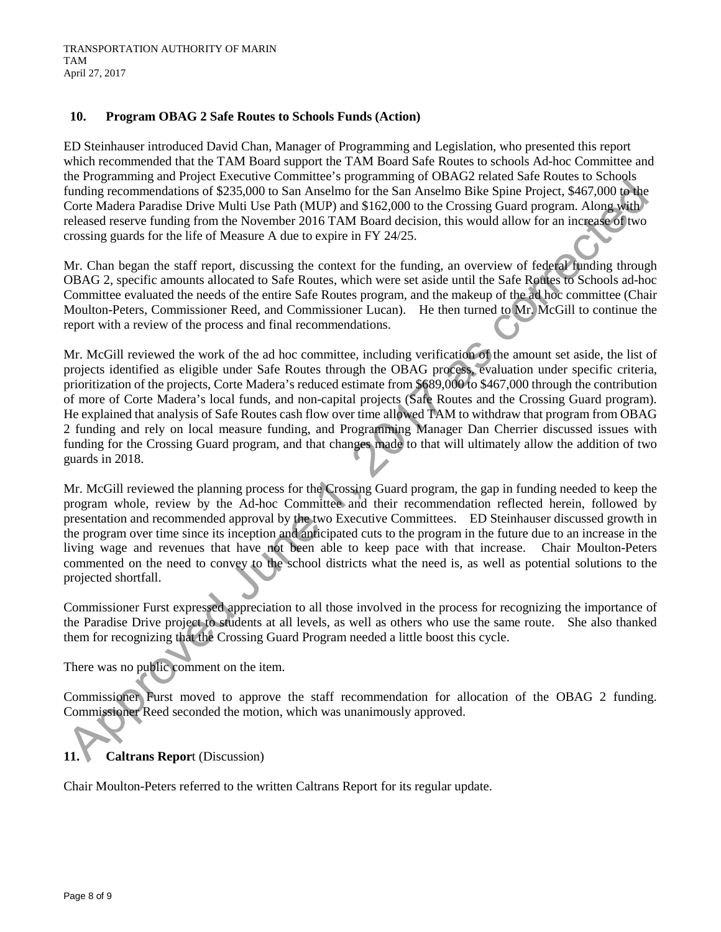# **10. Program OBAG 2 Safe Routes to Schools Funds (Action)**

ED Steinhauser introduced David Chan, Manager of Programming and Legislation, who presented this report which recommended that the TAM Board support the TAM Board Safe Routes to schools Ad-hoc Committee and the Programming and Project Executive Committee's programming of OBAG2 related Safe Routes to Schools funding recommendations of \$235,000 to San Anselmo for the San Anselmo Bike Spine Project, \$467,000 to the Corte Madera Paradise Drive Multi Use Path (MUP) and \$162,000 to the Crossing Guard program. Along with released reserve funding from the November 2016 TAM Board decision, this would allow for an increase of two crossing guards for the life of Measure A due to expire in FY 24/25.

Mr. Chan began the staff report, discussing the context for the funding, an overview of federal funding through OBAG 2, specific amounts allocated to Safe Routes, which were set aside until the Safe Routes to Schools ad-hoc Committee evaluated the needs of the entire Safe Routes program, and the makeup of the ad hoc committee (Chair Moulton-Peters, Commissioner Reed, and Commissioner Lucan). He then turned to Mr. McGill to continue the report with a review of the process and final recommendations.

Mr. McGill reviewed the work of the ad hoc committee, including verification of the amount set aside, the list of projects identified as eligible under Safe Routes through the OBAG process, evaluation under specific criteria, prioritization of the projects, Corte Madera's reduced estimate from \$689,000 to \$467,000 through the contribution of more of Corte Madera's local funds, and non-capital projects (Safe Routes and the Crossing Guard program). He explained that analysis of Safe Routes cash flow over time allowed TAM to withdraw that program from OBAG 2 funding and rely on local measure funding, and Programming Manager Dan Cherrier discussed issues with funding for the Crossing Guard program, and that changes made to that will ultimately allow the addition of two guards in 2018.

Mr. McGill reviewed the planning process for the Crossing Guard program, the gap in funding needed to keep the program whole, review by the Ad-hoc Committee and their recommendation reflected herein, followed by presentation and recommended approval by the two Executive Committees. ED Steinhauser discussed growth in the program over time since its inception and anticipated cuts to the program in the future due to an increase in the living wage and revenues that have not been able to keep pace with that increase. Chair Moulton-Peters commented on the need to convey to the school districts what the need is, as well as potential solutions to the projected shortfall.

Commissioner Furst expressed appreciation to all those involved in the process for recognizing the importance of the Paradise Drive project to students at all levels, as well as others who use the same route. She also thanked them for recognizing that the Crossing Guard Program needed a little boost this cycle.

There was no public comment on the item.

Commissioner Furst moved to approve the staff recommendation for allocation of the OBAG 2 funding. Commissioner Reed seconded the motion, which was unanimously approved.

# **11. Caltrans Repor**t (Discussion)

Chair Moulton-Peters referred to the written Caltrans Report for its regular update.